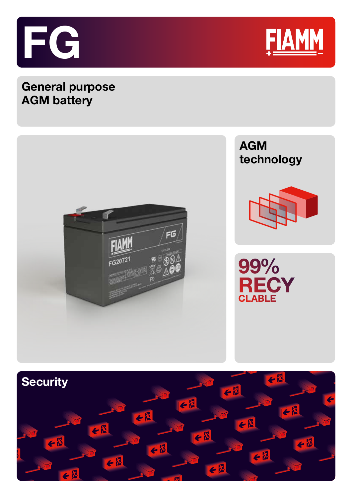



## **General purpose AGM battery**